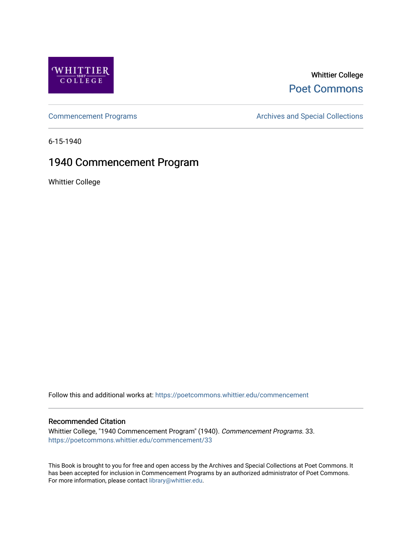

# Whittier College [Poet Commons](https://poetcommons.whittier.edu/)

[Commencement Programs](https://poetcommons.whittier.edu/commencement) **Archives and Special Collections** Archives and Special Collections

6-15-1940

# 1940 Commencement Program

Whittier College

Follow this and additional works at: [https://poetcommons.whittier.edu/commencement](https://poetcommons.whittier.edu/commencement?utm_source=poetcommons.whittier.edu%2Fcommencement%2F33&utm_medium=PDF&utm_campaign=PDFCoverPages) 

# Recommended Citation

Whittier College, "1940 Commencement Program" (1940). Commencement Programs. 33. [https://poetcommons.whittier.edu/commencement/33](https://poetcommons.whittier.edu/commencement/33?utm_source=poetcommons.whittier.edu%2Fcommencement%2F33&utm_medium=PDF&utm_campaign=PDFCoverPages)

This Book is brought to you for free and open access by the Archives and Special Collections at Poet Commons. It has been accepted for inclusion in Commencement Programs by an authorized administrator of Poet Commons. For more information, please contact [library@whittier.edu.](mailto:library@whittier.edu)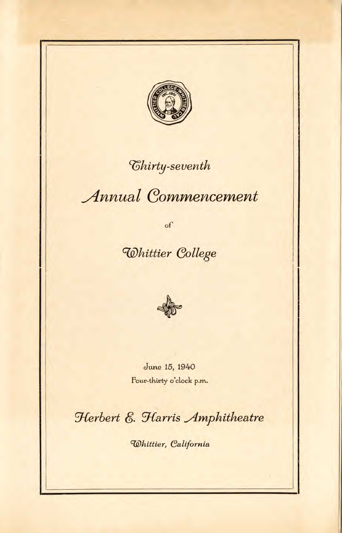

# *Chirty-seventh*

# **Annual Commencement**

 $\circ f$ 

# Whittier College



June 15, 1940 Four-thirty o'clock p.m.

Herbert E. Harris Amphitheatre

Whittier, California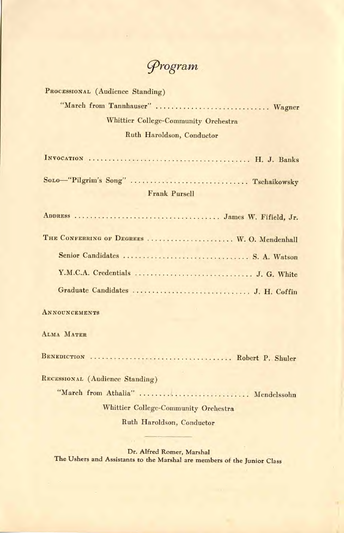Grogram

PROCESSIONAL (Audience Standing) "March from Tannhauser" ................................ Wagner Whittier College-Community Orchestra Ruth Haroidson, Conductor INVOCATION H. J. Banks Sono-"Pilgrim's Song" ................................... Tschaikowsky Frank Pursell ADDRESS James W. Fifield, Jr. THE CONFERRING OF DEGREES .................... W. O. Mendenhall Senior Candidates S. A. Watson Y.M.C.A. Credentials J. G. White Graduate Candidates J. H. Coffin **ANNOUNCEMENTS** ALMA MATER BENEDICTION Robert P. Shuler RECESSIONAL (Audience Standing) "March from Athalia" ............................ Mendelssohn Whittier College-Community Orchestra Ruth Haroidson, Conductor

Dr. Alfred Romer, Marshal The Ushers and Assistants to the Marshal are members of the Junior Class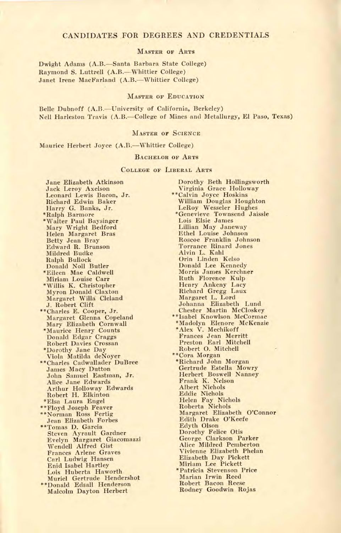## CANDIDATES FOR DEGREES AND CREDENTIALS

### MASTER OF ARTS

Dwight Adams (A.B.—Santa Barbara State College) Raymond S. Luttrell (A.B.--Whittier College) Janet Irene MacFarland (A.B.—Whittier College)

## MASTER OF EDUCATION

Belle Dubnoff (A.B.—University of California, Berkeley) Nell Harleston Travis (A.B.—College of Mines and Metallurgy, El Paso, Texas)

### MASTER OF SCIENCE

Maurice Herbert Joyce (A.B.—Whittier College)

## BACHELOR OF ARTS

## COLLEGE OF LIBERAL ARTS

Jane Elizabeth Atkinson Jack Leroy Axelson Leonard Lewis Bacon, Jr. Richard Edwin Baker Harry G. Banks, Jr. \*Ralph Barmore \*Walter Paul Baysinger Mary Wright Bedford Helen Margaret Bras Betty Jean Bray Edward R. Brunson Mildred Budke Ralph Bullock Donald Noll Butler \*Eileen Mae Caldwell Miriam Louise Carr Willis K. Christopher Myron Donald Claxton Margaret Willá Cleland J. Robert Clift \*\*Charles E. Cooper, Jr. Margaret Glenna Copeland Mary Elizabeth Cornwall \*Maurice Henry Counts Donald Edgar Craggs Robert Davies Crossan \*Dorothy Jane Day Viola Matilda deNoyer \*\*Charles Cadwallader DuBree James Macy Dutton John Samuel Eastman, Jr. Alice Jane Edwards Arthur Holloway Edwards Robert H. Elkintori \*Elsa Laura Engel \*\*Floyd Joseph Feaver \*\*Norman Ross Fertig Jean Elizabeth Forbes \*\*Tomas D. Garcia Steven Ayrault Gardner Evelyn Margaret Giacomazzi Wendell Alfred Gist Frances Arlene Graves Carl Ludwig Hansen Enid Isabel Hartley Lois Huberta Haworth Muriel Gertrude Hendershot \*\*Donald Edsall Henderson Malcolm Dayton Herbert

Dorothy Beth Hollingsworth Virginia Grace Holloway \*\*Calvin Joyce Hoskins William Douglas Houghton LeRoy Wesseler Hughes \*Genevieve Townsend Jaissle Lois Elsie James Lillian May Janeway Ethel Louise Johnson Roscoe Franklin Johnson Torrance Rinard Jones Alvin L. Kahl Orin Linden Kelso Donald Lee Kennedy Morris James Kerchner Ruth Florence Kulp Henry Ankeny Lacy Richard Gregg Laux Margaret L. Lord Johanna Elizabeth Lund Chester Martin McCloskey \*\*Isabel Knowlson McCormac \*Madolyn Elenore McKenzie \*Alex V. Mechikoff Frances Jean Merritt Preston Earl Mitchell Robert 0. Mitchell \*\*Cora Morgan \*Richard John Morgan Gertrude Estella Mowry Herbert Boswell Nanney Frank K. Nelson Albert Nichols Eddie Nichols Helen Fay Nichols Roberta Nichols Margaret Elizabeth O'Connor Edith Drake O'Keefe Edyth Olson Dorothy Felice Otis George Clarkson Parker Alice Mildred Pemberton Vivienne Elizabeth Phelan Elizabeth Day Pickett Miriam Lee Pickett \*Patricia Stevenson Price Marian Irwin Reed Robert Bacon Reese Rodney Goodwin Rojas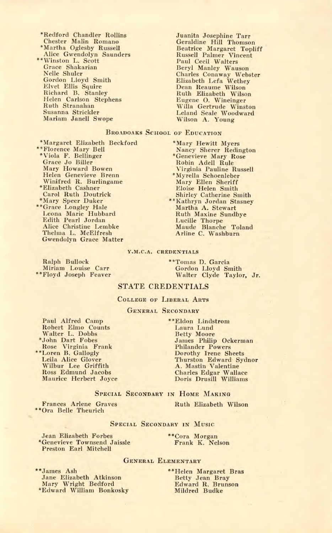- \*Redford Chandler Rollins Chester Malin Romano \*Martha Oglesby Russell Alice Gwendolyn Saunders \*\*Winston L. Scott Grace Shakarian Nelle Shuler Gordon Lloyd Smith Elvet Ellis Squire Richard B. Stanley Helen Carlson Stephens Ruth Stranahan Susanna Strickler Mariam Janell Swope
- Juanita Josephine Tarr Geraldine Hill Thomson Beatrice Margaret Topliff Russell Palmer Vincent Paul Cecil Walters Beryl Manley Wauson Charles Conaway Webster Elizabeth Lefa Wethey Dean Reaume Wilson Ruth Elizabeth Wilson Eugene 0. Wineinger Willa Gertrude Winston Leland Seale Woodward Wilson A. Young

# BROADOAKS SCHOOL OF EDUCATION

Margaret Elizabeth Beckford \*\*Florence Mary Bell \*Viola F. Bellinger Grace Jo Biller Mary Howard Bowen Helen Genevieve Brenn Winifred R. Burlingame \*Elizabeth Cashner Carol Ruth Doutrick \*Mary Speer Duker \*\*Grace Longley Hale Leona Marie Hubbard Edith Pearl Jordan

Alice Christine Lembke Thelma L. McElfresh Gwendolyn Grace Matter

\*Mary Hewitt Myers Nancy Sherer Redington \*Genevieve Mary Rose Robin Adell Rule Virginia Pauline Russell \*Myrella Schoenleber Mary Ellen Sheriff Eloise Helen Smith Shirley Catherine Smith \*Kathryn Jordan Stasney Martha A. Stewart Ruth Maxine Sundbye Lucille Thorpe Maude Blanche Toland

#### Y.M.C.A. CREDENTIALS

Ralph Bullock Miriam Louise Carr \*\*Floyd Joseph Feaver \*\*Tomas D. Garcia Gordon Lloyd Smith Walter Clyde Taylor, Jr.

Arline C. Washburn

## STATE CREDENTIALS

COLLEGE OF LIBERAL ARTS

### GENERAL SECONDARY

Paul Alfred Camp Robert Elmo Counts Walter L. Dobbs \*John Dart Fobes Rose Virginia Frank \*\*Loren B. Gallogly Leila Alice Glover Wilbur Lee Griffith Ross Edmund Jacobs Maurice Herbert Joyce

\*\*Ora Belle Theurich

\*\*Eldon Lindstrom Laura Lund Betty Moore James Philip Ockerman Philander Powers Dorothy Irene Sheets Thurston Edward Sydnor A. Mastin Valentine Charles Edgar Wallace Doris Drusill Williams

SPECIAL SECONDARY IN HOME MAKING

Frances Arlene Graves Ruth Elizabeth Wilson

### SPECIAL SECONDARY IN MUSIC

Jean Elizabeth Forbes \*Genevieve Townsend Jaissle Preston Earl Mitchell

\*\*Cora Morgan Frank K. Nelson

## GENERAL ELEMENTARY

\*\*James Ash Jane Elizabeth Atkinson Mary Wright Bedford \*Edward William Bonkosky \*\*Helen Margaret Bras Betty Jean Bray Edward R. Brunson Mildred Budke